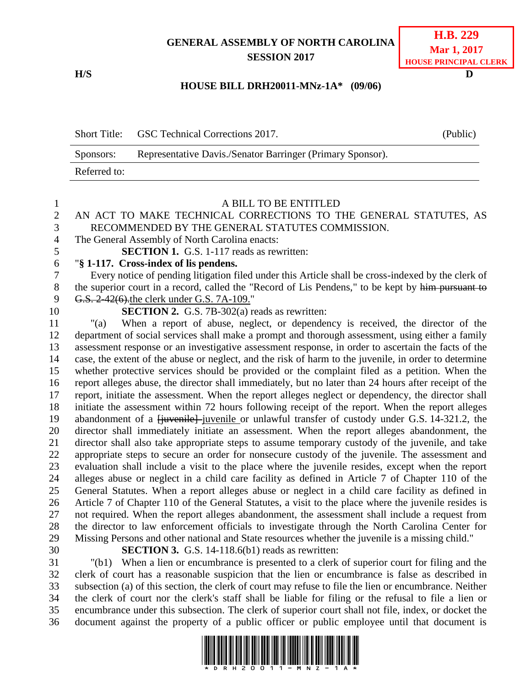## **GENERAL ASSEMBLY OF NORTH CAROLINA SESSION 2017**

**H/S D**

### **HOUSE BILL DRH20011-MNz-1A\* (09/06)**

|              | Short Title: GSC Technical Corrections 2017.               | (Public) |
|--------------|------------------------------------------------------------|----------|
| Sponsors:    | Representative Davis./Senator Barringer (Primary Sponsor). |          |
| Referred to: |                                                            |          |

#### A BILL TO BE ENTITLED

## AN ACT TO MAKE TECHNICAL CORRECTIONS TO THE GENERAL STATUTES, AS RECOMMENDED BY THE GENERAL STATUTES COMMISSION.

- The General Assembly of North Carolina enacts:
- **SECTION 1.** G.S. 1-117 reads as rewritten:

### "**§ 1-117. Cross-index of lis pendens.**

 Every notice of pending litigation filed under this Article shall be cross-indexed by the clerk of 8 the superior court in a record, called the "Record of Lis Pendens," to be kept by him pursuant to 9 G.S. 2-42(6).the clerk under G.S. 7A-109."

**SECTION 2.** G.S. 7B-302(a) reads as rewritten:

 "(a) When a report of abuse, neglect, or dependency is received, the director of the department of social services shall make a prompt and thorough assessment, using either a family assessment response or an investigative assessment response, in order to ascertain the facts of the case, the extent of the abuse or neglect, and the risk of harm to the juvenile, in order to determine whether protective services should be provided or the complaint filed as a petition. When the report alleges abuse, the director shall immediately, but no later than 24 hours after receipt of the report, initiate the assessment. When the report alleges neglect or dependency, the director shall initiate the assessment within 72 hours following receipt of the report. When the report alleges 19 abandonment of a <del>[juvenile]</del> juvenile or unlawful transfer of custody under G.S. 14-321.2, the director shall immediately initiate an assessment. When the report alleges abandonment, the director shall also take appropriate steps to assume temporary custody of the juvenile, and take appropriate steps to secure an order for nonsecure custody of the juvenile. The assessment and evaluation shall include a visit to the place where the juvenile resides, except when the report alleges abuse or neglect in a child care facility as defined in Article 7 of Chapter 110 of the General Statutes. When a report alleges abuse or neglect in a child care facility as defined in Article 7 of Chapter 110 of the General Statutes, a visit to the place where the juvenile resides is not required. When the report alleges abandonment, the assessment shall include a request from the director to law enforcement officials to investigate through the North Carolina Center for Missing Persons and other national and State resources whether the juvenile is a missing child."

**SECTION 3.** G.S. 14-118.6(b1) reads as rewritten:

 "(b1) When a lien or encumbrance is presented to a clerk of superior court for filing and the clerk of court has a reasonable suspicion that the lien or encumbrance is false as described in subsection (a) of this section, the clerk of court may refuse to file the lien or encumbrance. Neither the clerk of court nor the clerk's staff shall be liable for filing or the refusal to file a lien or encumbrance under this subsection. The clerk of superior court shall not file, index, or docket the document against the property of a public officer or public employee until that document is

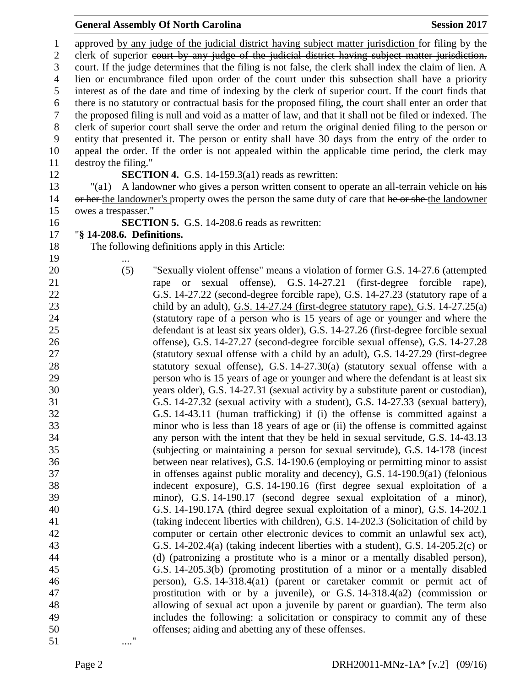approved by any judge of the judicial district having subject matter jurisdiction for filing by the 2 clerk of superior court by any judge of the judicial district having subject matter jurisdiction. court. If the judge determines that the filing is not false, the clerk shall index the claim of lien. A lien or encumbrance filed upon order of the court under this subsection shall have a priority interest as of the date and time of indexing by the clerk of superior court. If the court finds that there is no statutory or contractual basis for the proposed filing, the court shall enter an order that the proposed filing is null and void as a matter of law, and that it shall not be filed or indexed. The clerk of superior court shall serve the order and return the original denied filing to the person or entity that presented it. The person or entity shall have 30 days from the entry of the order to appeal the order. If the order is not appealed within the applicable time period, the clerk may destroy the filing." **SECTION 4.** G.S. 14-159.3(a1) reads as rewritten: "(a1) A landowner who gives a person written consent to operate an all-terrain vehicle on his 14 or her the landowner's property owes the person the same duty of care that he or she the landowner owes a trespasser." **SECTION 5.** G.S. 14-208.6 reads as rewritten: "**§ 14-208.6. Definitions.** The following definitions apply in this Article: ... (5) "Sexually violent offense" means a violation of former G.S. 14-27.6 (attempted rape or sexual offense), G.S. 14-27.21 (first-degree forcible rape), G.S. 14-27.22 (second-degree forcible rape), G.S. 14-27.23 (statutory rape of a child by an adult), G.S. 14-27.24 (first-degree statutory rape), G.S. 14-27.25(a) (statutory rape of a person who is 15 years of age or younger and where the defendant is at least six years older), G.S. 14-27.26 (first-degree forcible sexual offense), G.S. 14-27.27 (second-degree forcible sexual offense), G.S. 14-27.28 (statutory sexual offense with a child by an adult), G.S. 14-27.29 (first-degree statutory sexual offense), G.S. 14-27.30(a) (statutory sexual offense with a person who is 15 years of age or younger and where the defendant is at least six years older), G.S. 14-27.31 (sexual activity by a substitute parent or custodian), G.S. 14-27.32 (sexual activity with a student), G.S. 14-27.33 (sexual battery), G.S. 14-43.11 (human trafficking) if (i) the offense is committed against a minor who is less than 18 years of age or (ii) the offense is committed against any person with the intent that they be held in sexual servitude, G.S. 14-43.13 (subjecting or maintaining a person for sexual servitude), G.S. 14-178 (incest between near relatives), G.S. 14-190.6 (employing or permitting minor to assist in offenses against public morality and decency), G.S. 14-190.9(a1) (felonious indecent exposure), G.S. 14-190.16 (first degree sexual exploitation of a minor), G.S. 14-190.17 (second degree sexual exploitation of a minor), G.S. 14-190.17A (third degree sexual exploitation of a minor), G.S. 14-202.1 (taking indecent liberties with children), G.S. 14-202.3 (Solicitation of child by computer or certain other electronic devices to commit an unlawful sex act), G.S. 14-202.4(a) (taking indecent liberties with a student), G.S. 14-205.2(c) or (d) (patronizing a prostitute who is a minor or a mentally disabled person), G.S. 14-205.3(b) (promoting prostitution of a minor or a mentally disabled person), G.S. 14-318.4(a1) (parent or caretaker commit or permit act of prostitution with or by a juvenile), or G.S. 14-318.4(a2) (commission or allowing of sexual act upon a juvenile by parent or guardian). The term also includes the following: a solicitation or conspiracy to commit any of these offenses; aiding and abetting any of these offenses. ...."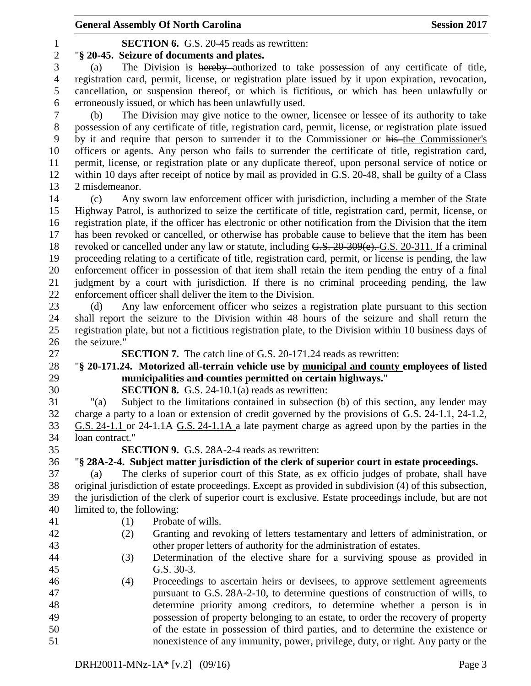# **SECTION 6.** G.S. 20-45 reads as rewritten:

"**§ 20-45. Seizure of documents and plates.**

 (a) The Division is hereby authorized to take possession of any certificate of title, registration card, permit, license, or registration plate issued by it upon expiration, revocation, cancellation, or suspension thereof, or which is fictitious, or which has been unlawfully or erroneously issued, or which has been unlawfully used.

 (b) The Division may give notice to the owner, licensee or lessee of its authority to take possession of any certificate of title, registration card, permit, license, or registration plate issued by it and require that person to surrender it to the Commissioner or his the Commissioner's officers or agents. Any person who fails to surrender the certificate of title, registration card, permit, license, or registration plate or any duplicate thereof, upon personal service of notice or within 10 days after receipt of notice by mail as provided in G.S. 20-48, shall be guilty of a Class 2 misdemeanor.

 (c) Any sworn law enforcement officer with jurisdiction, including a member of the State Highway Patrol, is authorized to seize the certificate of title, registration card, permit, license, or registration plate, if the officer has electronic or other notification from the Division that the item has been revoked or cancelled, or otherwise has probable cause to believe that the item has been 18 revoked or cancelled under any law or statute, including G.S. 20-309(e). G.S. 20-311. If a criminal proceeding relating to a certificate of title, registration card, permit, or license is pending, the law enforcement officer in possession of that item shall retain the item pending the entry of a final judgment by a court with jurisdiction. If there is no criminal proceeding pending, the law enforcement officer shall deliver the item to the Division.

 (d) Any law enforcement officer who seizes a registration plate pursuant to this section shall report the seizure to the Division within 48 hours of the seizure and shall return the registration plate, but not a fictitious registration plate, to the Division within 10 business days of the seizure."

**SECTION 7.** The catch line of G.S. 20-171.24 reads as rewritten:

# "**§ 20-171.24. Motorized all-terrain vehicle use by municipal and county employees of listed municipalities and counties permitted on certain highways.**"

**SECTION 8.** G.S. 24-10.1(a) reads as rewritten:

 "(a) Subject to the limitations contained in subsection (b) of this section, any lender may charge a party to a loan or extension of credit governed by the provisions of G.S. 24-1.1, 24-1.2, G.S. 24-1.1 or 24-1.1A G.S. 24-1.1A a late payment charge as agreed upon by the parties in the loan contract."

**SECTION 9.** G.S. 28A-2-4 reads as rewritten:

"**§ 28A-2-4. Subject matter jurisdiction of the clerk of superior court in estate proceedings.**

 (a) The clerks of superior court of this State, as ex officio judges of probate, shall have original jurisdiction of estate proceedings. Except as provided in subdivision (4) of this subsection, the jurisdiction of the clerk of superior court is exclusive. Estate proceedings include, but are not limited to, the following:

- 
- (1) Probate of wills.
- (2) Granting and revoking of letters testamentary and letters of administration, or other proper letters of authority for the administration of estates.
- (3) Determination of the elective share for a surviving spouse as provided in G.S. 30-3.
- (4) Proceedings to ascertain heirs or devisees, to approve settlement agreements pursuant to G.S. 28A-2-10, to determine questions of construction of wills, to determine priority among creditors, to determine whether a person is in possession of property belonging to an estate, to order the recovery of property of the estate in possession of third parties, and to determine the existence or nonexistence of any immunity, power, privilege, duty, or right. Any party or the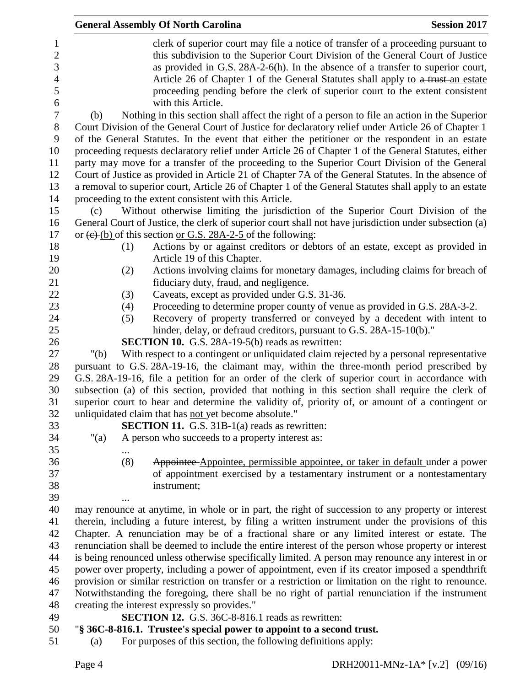|         | <b>General Assembly Of North Carolina</b>                                                                                                                                                                                                                                                                                                                                                                                                                                                                                                                                                                                       | <b>Session 2017</b> |
|---------|---------------------------------------------------------------------------------------------------------------------------------------------------------------------------------------------------------------------------------------------------------------------------------------------------------------------------------------------------------------------------------------------------------------------------------------------------------------------------------------------------------------------------------------------------------------------------------------------------------------------------------|---------------------|
|         | clerk of superior court may file a notice of transfer of a proceeding pursuant to<br>this subdivision to the Superior Court Division of the General Court of Justice<br>as provided in G.S. 28A-2-6(h). In the absence of a transfer to superior court,                                                                                                                                                                                                                                                                                                                                                                         |                     |
|         | Article 26 of Chapter 1 of the General Statutes shall apply to a trust-an estate<br>proceeding pending before the clerk of superior court to the extent consistent<br>with this Article.                                                                                                                                                                                                                                                                                                                                                                                                                                        |                     |
| (b)     | Nothing in this section shall affect the right of a person to file an action in the Superior                                                                                                                                                                                                                                                                                                                                                                                                                                                                                                                                    |                     |
|         | Court Division of the General Court of Justice for declaratory relief under Article 26 of Chapter 1<br>of the General Statutes. In the event that either the petitioner or the respondent in an estate<br>proceeding requests declaratory relief under Article 26 of Chapter 1 of the General Statutes, either<br>party may move for a transfer of the proceeding to the Superior Court Division of the General<br>Court of Justice as provided in Article 21 of Chapter 7A of the General Statutes. In the absence of<br>a removal to superior court, Article 26 of Chapter 1 of the General Statutes shall apply to an estate |                     |
|         | proceeding to the extent consistent with this Article.                                                                                                                                                                                                                                                                                                                                                                                                                                                                                                                                                                          |                     |
| (c)     | Without otherwise limiting the jurisdiction of the Superior Court Division of the<br>General Court of Justice, the clerk of superior court shall not have jurisdiction under subsection (a)                                                                                                                                                                                                                                                                                                                                                                                                                                     |                     |
|         | or $(e)$ (b) of this section or G.S. 28A-2-5 of the following:                                                                                                                                                                                                                                                                                                                                                                                                                                                                                                                                                                  |                     |
| (1)     | Actions by or against creditors or debtors of an estate, except as provided in<br>Article 19 of this Chapter.                                                                                                                                                                                                                                                                                                                                                                                                                                                                                                                   |                     |
| (2)     | Actions involving claims for monetary damages, including claims for breach of                                                                                                                                                                                                                                                                                                                                                                                                                                                                                                                                                   |                     |
|         | fiduciary duty, fraud, and negligence.                                                                                                                                                                                                                                                                                                                                                                                                                                                                                                                                                                                          |                     |
| (3)     | Caveats, except as provided under G.S. 31-36.                                                                                                                                                                                                                                                                                                                                                                                                                                                                                                                                                                                   |                     |
| (4)     | Proceeding to determine proper county of venue as provided in G.S. 28A-3-2.                                                                                                                                                                                                                                                                                                                                                                                                                                                                                                                                                     |                     |
| (5)     | Recovery of property transferred or conveyed by a decedent with intent to                                                                                                                                                                                                                                                                                                                                                                                                                                                                                                                                                       |                     |
|         | hinder, delay, or defraud creditors, pursuant to G.S. 28A-15-10(b)."                                                                                                                                                                                                                                                                                                                                                                                                                                                                                                                                                            |                     |
|         | <b>SECTION 10.</b> G.S. 28A-19-5(b) reads as rewritten:                                                                                                                                                                                                                                                                                                                                                                                                                                                                                                                                                                         |                     |
| " $(b)$ | With respect to a contingent or unliquidated claim rejected by a personal representative                                                                                                                                                                                                                                                                                                                                                                                                                                                                                                                                        |                     |
|         | pursuant to G.S. 28A-19-16, the claimant may, within the three-month period prescribed by                                                                                                                                                                                                                                                                                                                                                                                                                                                                                                                                       |                     |
|         | G.S. 28A-19-16, file a petition for an order of the clerk of superior court in accordance with                                                                                                                                                                                                                                                                                                                                                                                                                                                                                                                                  |                     |
|         | subsection (a) of this section, provided that nothing in this section shall require the clerk of                                                                                                                                                                                                                                                                                                                                                                                                                                                                                                                                |                     |
|         | superior court to hear and determine the validity of, priority of, or amount of a contingent or                                                                                                                                                                                                                                                                                                                                                                                                                                                                                                                                 |                     |
|         | unliquidated claim that has not yet become absolute."                                                                                                                                                                                                                                                                                                                                                                                                                                                                                                                                                                           |                     |
|         | <b>SECTION 11.</b> G.S. 31B-1(a) reads as rewritten:                                                                                                                                                                                                                                                                                                                                                                                                                                                                                                                                                                            |                     |
| " $(a)$ | A person who succeeds to a property interest as:                                                                                                                                                                                                                                                                                                                                                                                                                                                                                                                                                                                |                     |
|         |                                                                                                                                                                                                                                                                                                                                                                                                                                                                                                                                                                                                                                 |                     |
| (8)     | Appointee Appointee, permissible appointee, or taker in default under a power                                                                                                                                                                                                                                                                                                                                                                                                                                                                                                                                                   |                     |
|         | of appointment exercised by a testamentary instrument or a nontestamentary                                                                                                                                                                                                                                                                                                                                                                                                                                                                                                                                                      |                     |
|         | instrument;                                                                                                                                                                                                                                                                                                                                                                                                                                                                                                                                                                                                                     |                     |
|         |                                                                                                                                                                                                                                                                                                                                                                                                                                                                                                                                                                                                                                 |                     |
|         | may renounce at anytime, in whole or in part, the right of succession to any property or interest                                                                                                                                                                                                                                                                                                                                                                                                                                                                                                                               |                     |
|         | therein, including a future interest, by filing a written instrument under the provisions of this                                                                                                                                                                                                                                                                                                                                                                                                                                                                                                                               |                     |
|         | Chapter. A renunciation may be of a fractional share or any limited interest or estate. The                                                                                                                                                                                                                                                                                                                                                                                                                                                                                                                                     |                     |
|         | renunciation shall be deemed to include the entire interest of the person whose property or interest<br>is being renounced unless otherwise specifically limited. A person may renounce any interest in or                                                                                                                                                                                                                                                                                                                                                                                                                      |                     |
|         | power over property, including a power of appointment, even if its creator imposed a spendthrift                                                                                                                                                                                                                                                                                                                                                                                                                                                                                                                                |                     |
|         | provision or similar restriction on transfer or a restriction or limitation on the right to renounce.                                                                                                                                                                                                                                                                                                                                                                                                                                                                                                                           |                     |
|         | Notwithstanding the foregoing, there shall be no right of partial renunciation if the instrument                                                                                                                                                                                                                                                                                                                                                                                                                                                                                                                                |                     |
|         | creating the interest expressly so provides."                                                                                                                                                                                                                                                                                                                                                                                                                                                                                                                                                                                   |                     |
|         | <b>SECTION 12.</b> G.S. 36C-8-816.1 reads as rewritten:                                                                                                                                                                                                                                                                                                                                                                                                                                                                                                                                                                         |                     |
|         | "§ 36C-8-816.1. Trustee's special power to appoint to a second trust.                                                                                                                                                                                                                                                                                                                                                                                                                                                                                                                                                           |                     |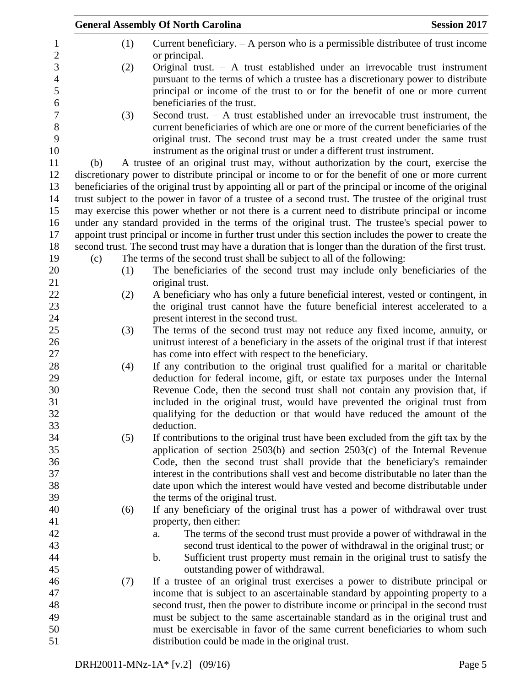|     |     | <b>General Assembly Of North Carolina</b>                                                                                                                             | <b>Session 2017</b> |
|-----|-----|-----------------------------------------------------------------------------------------------------------------------------------------------------------------------|---------------------|
|     | (1) | Current beneficiary. $- A$ person who is a permissible distributee of trust income<br>or principal.                                                                   |                     |
|     | (2) | Original trust. $-$ A trust established under an irrevocable trust instrument                                                                                         |                     |
|     |     | pursuant to the terms of which a trustee has a discretionary power to distribute                                                                                      |                     |
|     |     | principal or income of the trust to or for the benefit of one or more current                                                                                         |                     |
|     |     | beneficiaries of the trust.                                                                                                                                           |                     |
|     | (3) | Second trust. $-$ A trust established under an irrevocable trust instrument, the                                                                                      |                     |
|     |     | current beneficiaries of which are one or more of the current beneficiaries of the                                                                                    |                     |
|     |     | original trust. The second trust may be a trust created under the same trust<br>instrument as the original trust or under a different trust instrument.               |                     |
| (b) |     | A trustee of an original trust may, without authorization by the court, exercise the                                                                                  |                     |
|     |     | discretionary power to distribute principal or income to or for the benefit of one or more current                                                                    |                     |
|     |     | beneficiaries of the original trust by appointing all or part of the principal or income of the original                                                              |                     |
|     |     | trust subject to the power in favor of a trustee of a second trust. The trustee of the original trust                                                                 |                     |
|     |     | may exercise this power whether or not there is a current need to distribute principal or income                                                                      |                     |
|     |     | under any standard provided in the terms of the original trust. The trustee's special power to                                                                        |                     |
|     |     | appoint trust principal or income in further trust under this section includes the power to create the                                                                |                     |
|     |     | second trust. The second trust may have a duration that is longer than the duration of the first trust.                                                               |                     |
| (c) |     | The terms of the second trust shall be subject to all of the following:                                                                                               |                     |
|     | (1) | The beneficiaries of the second trust may include only beneficiaries of the                                                                                           |                     |
|     |     | original trust.                                                                                                                                                       |                     |
|     | (2) | A beneficiary who has only a future beneficial interest, vested or contingent, in                                                                                     |                     |
|     |     | the original trust cannot have the future beneficial interest accelerated to a                                                                                        |                     |
|     |     | present interest in the second trust.                                                                                                                                 |                     |
|     | (3) | The terms of the second trust may not reduce any fixed income, annuity, or                                                                                            |                     |
|     |     | unitrust interest of a beneficiary in the assets of the original trust if that interest                                                                               |                     |
|     |     | has come into effect with respect to the beneficiary.                                                                                                                 |                     |
|     | (4) | If any contribution to the original trust qualified for a marital or charitable                                                                                       |                     |
|     |     | deduction for federal income, gift, or estate tax purposes under the Internal                                                                                         |                     |
|     |     | Revenue Code, then the second trust shall not contain any provision that, if                                                                                          |                     |
|     |     | included in the original trust, would have prevented the original trust from                                                                                          |                     |
|     |     | qualifying for the deduction or that would have reduced the amount of the                                                                                             |                     |
|     |     | deduction.                                                                                                                                                            |                     |
|     | (5) | If contributions to the original trust have been excluded from the gift tax by the                                                                                    |                     |
|     |     | application of section $2503(b)$ and section $2503(c)$ of the Internal Revenue                                                                                        |                     |
|     |     | Code, then the second trust shall provide that the beneficiary's remainder                                                                                            |                     |
|     |     | interest in the contributions shall vest and become distributable no later than the                                                                                   |                     |
|     |     | date upon which the interest would have vested and become distributable under                                                                                         |                     |
|     |     | the terms of the original trust.                                                                                                                                      |                     |
|     | (6) | If any beneficiary of the original trust has a power of withdrawal over trust                                                                                         |                     |
|     |     | property, then either:                                                                                                                                                |                     |
|     |     | The terms of the second trust must provide a power of withdrawal in the<br>a.                                                                                         |                     |
|     |     | second trust identical to the power of withdrawal in the original trust; or                                                                                           |                     |
|     |     | Sufficient trust property must remain in the original trust to satisfy the<br>b.                                                                                      |                     |
|     |     | outstanding power of withdrawal.                                                                                                                                      |                     |
|     | (7) | If a trustee of an original trust exercises a power to distribute principal or                                                                                        |                     |
|     |     | income that is subject to an ascertainable standard by appointing property to a<br>second trust, then the power to distribute income or principal in the second trust |                     |
|     |     | must be subject to the same ascertainable standard as in the original trust and                                                                                       |                     |
|     |     | must be exercisable in favor of the same current beneficiaries to whom such                                                                                           |                     |
|     |     | distribution could be made in the original trust.                                                                                                                     |                     |
|     |     |                                                                                                                                                                       |                     |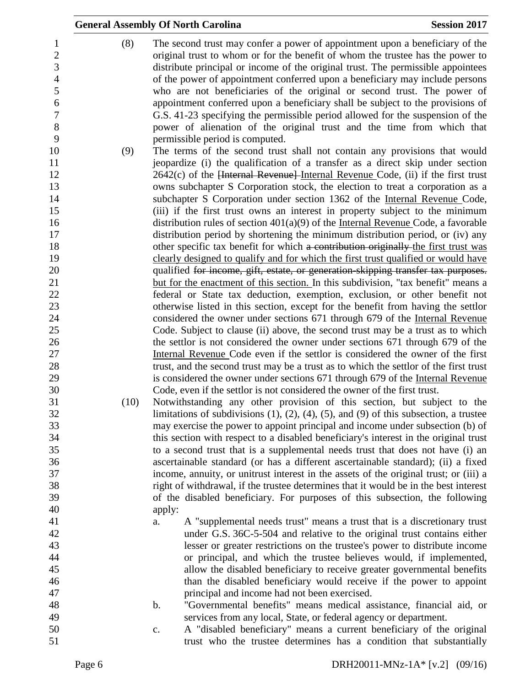|                                                                     |      | <b>General Assembly Of North Carolina</b><br><b>Session 2017</b>                                                                                                                                                                                                                                                                                                                                                                                                                                                                                                                                                                                                                               |  |
|---------------------------------------------------------------------|------|------------------------------------------------------------------------------------------------------------------------------------------------------------------------------------------------------------------------------------------------------------------------------------------------------------------------------------------------------------------------------------------------------------------------------------------------------------------------------------------------------------------------------------------------------------------------------------------------------------------------------------------------------------------------------------------------|--|
| 1<br>$\overline{c}$<br>3<br>$\overline{4}$<br>5<br>6<br>7<br>8<br>9 | (8)  | The second trust may confer a power of appointment upon a beneficiary of the<br>original trust to whom or for the benefit of whom the trustee has the power to<br>distribute principal or income of the original trust. The permissible appointees<br>of the power of appointment conferred upon a beneficiary may include persons<br>who are not beneficiaries of the original or second trust. The power of<br>appointment conferred upon a beneficiary shall be subject to the provisions of<br>G.S. 41-23 specifying the permissible period allowed for the suspension of the<br>power of alienation of the original trust and the time from which that<br>permissible period is computed. |  |
| 10                                                                  | (9)  | The terms of the second trust shall not contain any provisions that would                                                                                                                                                                                                                                                                                                                                                                                                                                                                                                                                                                                                                      |  |
| 11                                                                  |      | jeopardize (i) the qualification of a transfer as a direct skip under section                                                                                                                                                                                                                                                                                                                                                                                                                                                                                                                                                                                                                  |  |
| 12                                                                  |      | 2642(c) of the Henrical Revenuel-Internal Revenue Code, (ii) if the first trust                                                                                                                                                                                                                                                                                                                                                                                                                                                                                                                                                                                                                |  |
| 13                                                                  |      | owns subchapter S Corporation stock, the election to treat a corporation as a                                                                                                                                                                                                                                                                                                                                                                                                                                                                                                                                                                                                                  |  |
| 14                                                                  |      | subchapter S Corporation under section 1362 of the Internal Revenue Code,                                                                                                                                                                                                                                                                                                                                                                                                                                                                                                                                                                                                                      |  |
| 15                                                                  |      | (iii) if the first trust owns an interest in property subject to the minimum                                                                                                                                                                                                                                                                                                                                                                                                                                                                                                                                                                                                                   |  |
| 16                                                                  |      | distribution rules of section $401(a)(9)$ of the Internal Revenue Code, a favorable                                                                                                                                                                                                                                                                                                                                                                                                                                                                                                                                                                                                            |  |
| 17                                                                  |      | distribution period by shortening the minimum distribution period, or (iv) any                                                                                                                                                                                                                                                                                                                                                                                                                                                                                                                                                                                                                 |  |
| 18                                                                  |      | other specific tax benefit for which a contribution originally the first trust was                                                                                                                                                                                                                                                                                                                                                                                                                                                                                                                                                                                                             |  |
| 19                                                                  |      | clearly designed to qualify and for which the first trust qualified or would have                                                                                                                                                                                                                                                                                                                                                                                                                                                                                                                                                                                                              |  |
| 20                                                                  |      | qualified for income, gift, estate, or generation skipping transfer tax purposes.                                                                                                                                                                                                                                                                                                                                                                                                                                                                                                                                                                                                              |  |
| 21                                                                  |      | but for the enactment of this section. In this subdivision, "tax benefit" means a                                                                                                                                                                                                                                                                                                                                                                                                                                                                                                                                                                                                              |  |
| 22<br>23                                                            |      | federal or State tax deduction, exemption, exclusion, or other benefit not<br>otherwise listed in this section, except for the benefit from having the settlor                                                                                                                                                                                                                                                                                                                                                                                                                                                                                                                                 |  |
| 24                                                                  |      | considered the owner under sections 671 through 679 of the Internal Revenue                                                                                                                                                                                                                                                                                                                                                                                                                                                                                                                                                                                                                    |  |
| 25                                                                  |      | Code. Subject to clause (ii) above, the second trust may be a trust as to which                                                                                                                                                                                                                                                                                                                                                                                                                                                                                                                                                                                                                |  |
| 26                                                                  |      | the settlor is not considered the owner under sections 671 through 679 of the                                                                                                                                                                                                                                                                                                                                                                                                                                                                                                                                                                                                                  |  |
| 27                                                                  |      | Internal Revenue Code even if the settlor is considered the owner of the first                                                                                                                                                                                                                                                                                                                                                                                                                                                                                                                                                                                                                 |  |
| 28                                                                  |      | trust, and the second trust may be a trust as to which the settlor of the first trust                                                                                                                                                                                                                                                                                                                                                                                                                                                                                                                                                                                                          |  |
| 29                                                                  |      | is considered the owner under sections 671 through 679 of the Internal Revenue                                                                                                                                                                                                                                                                                                                                                                                                                                                                                                                                                                                                                 |  |
| 30                                                                  |      | Code, even if the settlor is not considered the owner of the first trust.                                                                                                                                                                                                                                                                                                                                                                                                                                                                                                                                                                                                                      |  |
| 31                                                                  | (10) | Notwithstanding any other provision of this section, but subject to the                                                                                                                                                                                                                                                                                                                                                                                                                                                                                                                                                                                                                        |  |
| 32                                                                  |      | limitations of subdivisions $(1)$ , $(2)$ , $(4)$ , $(5)$ , and $(9)$ of this subsection, a trustee                                                                                                                                                                                                                                                                                                                                                                                                                                                                                                                                                                                            |  |
| 33                                                                  |      | may exercise the power to appoint principal and income under subsection (b) of                                                                                                                                                                                                                                                                                                                                                                                                                                                                                                                                                                                                                 |  |
| 34                                                                  |      | this section with respect to a disabled beneficiary's interest in the original trust                                                                                                                                                                                                                                                                                                                                                                                                                                                                                                                                                                                                           |  |
| 35                                                                  |      | to a second trust that is a supplemental needs trust that does not have (i) an                                                                                                                                                                                                                                                                                                                                                                                                                                                                                                                                                                                                                 |  |
| 36                                                                  |      | ascertainable standard (or has a different ascertainable standard); (ii) a fixed                                                                                                                                                                                                                                                                                                                                                                                                                                                                                                                                                                                                               |  |
| 37                                                                  |      | income, annuity, or unitrust interest in the assets of the original trust; or (iii) a                                                                                                                                                                                                                                                                                                                                                                                                                                                                                                                                                                                                          |  |
| 38<br>39                                                            |      | right of withdrawal, if the trustee determines that it would be in the best interest                                                                                                                                                                                                                                                                                                                                                                                                                                                                                                                                                                                                           |  |
|                                                                     |      | of the disabled beneficiary. For purposes of this subsection, the following                                                                                                                                                                                                                                                                                                                                                                                                                                                                                                                                                                                                                    |  |
| 40<br>41                                                            |      | apply:<br>A "supplemental needs trust" means a trust that is a discretionary trust<br>a.                                                                                                                                                                                                                                                                                                                                                                                                                                                                                                                                                                                                       |  |
| 42                                                                  |      | under G.S. 36C-5-504 and relative to the original trust contains either                                                                                                                                                                                                                                                                                                                                                                                                                                                                                                                                                                                                                        |  |
| 43                                                                  |      | lesser or greater restrictions on the trustee's power to distribute income                                                                                                                                                                                                                                                                                                                                                                                                                                                                                                                                                                                                                     |  |
| 44                                                                  |      | or principal, and which the trustee believes would, if implemented,                                                                                                                                                                                                                                                                                                                                                                                                                                                                                                                                                                                                                            |  |
| 45                                                                  |      | allow the disabled beneficiary to receive greater governmental benefits                                                                                                                                                                                                                                                                                                                                                                                                                                                                                                                                                                                                                        |  |
| 46                                                                  |      | than the disabled beneficiary would receive if the power to appoint                                                                                                                                                                                                                                                                                                                                                                                                                                                                                                                                                                                                                            |  |
| 47                                                                  |      | principal and income had not been exercised.                                                                                                                                                                                                                                                                                                                                                                                                                                                                                                                                                                                                                                                   |  |
| 48                                                                  |      | "Governmental benefits" means medical assistance, financial aid, or<br>b.                                                                                                                                                                                                                                                                                                                                                                                                                                                                                                                                                                                                                      |  |
| 49                                                                  |      | services from any local, State, or federal agency or department.                                                                                                                                                                                                                                                                                                                                                                                                                                                                                                                                                                                                                               |  |
| 50                                                                  |      | A "disabled beneficiary" means a current beneficiary of the original<br>$\mathbf{C}$ .                                                                                                                                                                                                                                                                                                                                                                                                                                                                                                                                                                                                         |  |
| 51                                                                  |      | trust who the trustee determines has a condition that substantially                                                                                                                                                                                                                                                                                                                                                                                                                                                                                                                                                                                                                            |  |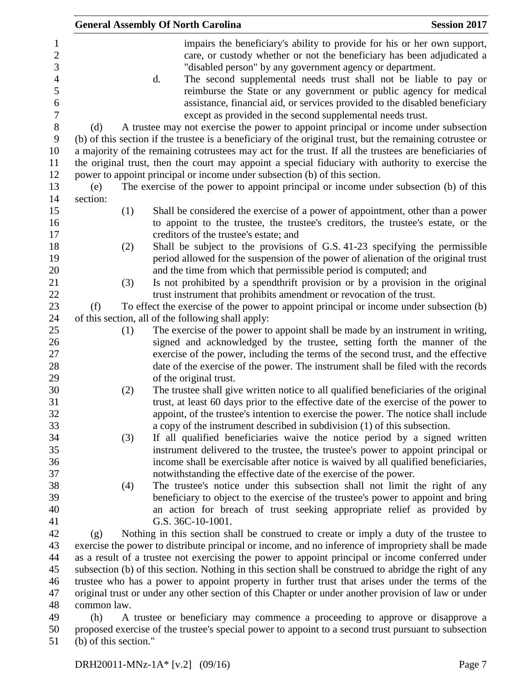|                 |     |    | <b>General Assembly Of North Carolina</b>                                                                                                                                                                                                                                                                                                                                                                                                                                                                                                                                                       | <b>Session 2017</b> |
|-----------------|-----|----|-------------------------------------------------------------------------------------------------------------------------------------------------------------------------------------------------------------------------------------------------------------------------------------------------------------------------------------------------------------------------------------------------------------------------------------------------------------------------------------------------------------------------------------------------------------------------------------------------|---------------------|
| (d)             |     | d. | impairs the beneficiary's ability to provide for his or her own support,<br>care, or custody whether or not the beneficiary has been adjudicated a<br>"disabled person" by any government agency or department.<br>The second supplemental needs trust shall not be liable to pay or<br>reimburse the State or any government or public agency for medical<br>assistance, financial aid, or services provided to the disabled beneficiary<br>except as provided in the second supplemental needs trust.<br>A trustee may not exercise the power to appoint principal or income under subsection |                     |
|                 |     |    | (b) of this section if the trustee is a beneficiary of the original trust, but the remaining cotrustee or                                                                                                                                                                                                                                                                                                                                                                                                                                                                                       |                     |
|                 |     |    | a majority of the remaining cotrustees may act for the trust. If all the trustees are beneficiaries of                                                                                                                                                                                                                                                                                                                                                                                                                                                                                          |                     |
|                 |     |    | the original trust, then the court may appoint a special fiduciary with authority to exercise the                                                                                                                                                                                                                                                                                                                                                                                                                                                                                               |                     |
|                 |     |    | power to appoint principal or income under subsection (b) of this section.                                                                                                                                                                                                                                                                                                                                                                                                                                                                                                                      |                     |
| (e)<br>section: |     |    | The exercise of the power to appoint principal or income under subsection (b) of this                                                                                                                                                                                                                                                                                                                                                                                                                                                                                                           |                     |
|                 | (1) |    | Shall be considered the exercise of a power of appointment, other than a power                                                                                                                                                                                                                                                                                                                                                                                                                                                                                                                  |                     |
|                 |     |    | to appoint to the trustee, the trustee's creditors, the trustee's estate, or the                                                                                                                                                                                                                                                                                                                                                                                                                                                                                                                |                     |
|                 |     |    | creditors of the trustee's estate; and                                                                                                                                                                                                                                                                                                                                                                                                                                                                                                                                                          |                     |
|                 | (2) |    | Shall be subject to the provisions of G.S. 41-23 specifying the permissible                                                                                                                                                                                                                                                                                                                                                                                                                                                                                                                     |                     |
|                 |     |    | period allowed for the suspension of the power of alienation of the original trust                                                                                                                                                                                                                                                                                                                                                                                                                                                                                                              |                     |
|                 |     |    | and the time from which that permissible period is computed; and                                                                                                                                                                                                                                                                                                                                                                                                                                                                                                                                |                     |
|                 | (3) |    | Is not prohibited by a spendthrift provision or by a provision in the original                                                                                                                                                                                                                                                                                                                                                                                                                                                                                                                  |                     |
|                 |     |    | trust instrument that prohibits amendment or revocation of the trust.                                                                                                                                                                                                                                                                                                                                                                                                                                                                                                                           |                     |
| (f)             |     |    | To effect the exercise of the power to appoint principal or income under subsection (b)                                                                                                                                                                                                                                                                                                                                                                                                                                                                                                         |                     |
|                 |     |    | of this section, all of the following shall apply:                                                                                                                                                                                                                                                                                                                                                                                                                                                                                                                                              |                     |
|                 | (1) |    | The exercise of the power to appoint shall be made by an instrument in writing,                                                                                                                                                                                                                                                                                                                                                                                                                                                                                                                 |                     |
|                 |     |    | signed and acknowledged by the trustee, setting forth the manner of the                                                                                                                                                                                                                                                                                                                                                                                                                                                                                                                         |                     |
|                 |     |    | exercise of the power, including the terms of the second trust, and the effective                                                                                                                                                                                                                                                                                                                                                                                                                                                                                                               |                     |
|                 |     |    | date of the exercise of the power. The instrument shall be filed with the records                                                                                                                                                                                                                                                                                                                                                                                                                                                                                                               |                     |
|                 |     |    | of the original trust.                                                                                                                                                                                                                                                                                                                                                                                                                                                                                                                                                                          |                     |
|                 | (2) |    | The trustee shall give written notice to all qualified beneficiaries of the original                                                                                                                                                                                                                                                                                                                                                                                                                                                                                                            |                     |
|                 |     |    | trust, at least 60 days prior to the effective date of the exercise of the power to                                                                                                                                                                                                                                                                                                                                                                                                                                                                                                             |                     |
|                 |     |    | appoint, of the trustee's intention to exercise the power. The notice shall include                                                                                                                                                                                                                                                                                                                                                                                                                                                                                                             |                     |
|                 |     |    | a copy of the instrument described in subdivision (1) of this subsection.<br>If all qualified beneficiaries waive the notice period by a signed written                                                                                                                                                                                                                                                                                                                                                                                                                                         |                     |
|                 | (3) |    | instrument delivered to the trustee, the trustee's power to appoint principal or                                                                                                                                                                                                                                                                                                                                                                                                                                                                                                                |                     |
|                 |     |    | income shall be exercisable after notice is waived by all qualified beneficiaries,                                                                                                                                                                                                                                                                                                                                                                                                                                                                                                              |                     |
|                 |     |    | notwithstanding the effective date of the exercise of the power.                                                                                                                                                                                                                                                                                                                                                                                                                                                                                                                                |                     |
|                 | (4) |    | The trustee's notice under this subsection shall not limit the right of any                                                                                                                                                                                                                                                                                                                                                                                                                                                                                                                     |                     |
|                 |     |    | beneficiary to object to the exercise of the trustee's power to appoint and bring                                                                                                                                                                                                                                                                                                                                                                                                                                                                                                               |                     |
|                 |     |    | an action for breach of trust seeking appropriate relief as provided by                                                                                                                                                                                                                                                                                                                                                                                                                                                                                                                         |                     |
|                 |     |    | G.S. 36C-10-1001.                                                                                                                                                                                                                                                                                                                                                                                                                                                                                                                                                                               |                     |
| (g)             |     |    | Nothing in this section shall be construed to create or imply a duty of the trustee to                                                                                                                                                                                                                                                                                                                                                                                                                                                                                                          |                     |
|                 |     |    | exercise the power to distribute principal or income, and no inference of impropriety shall be made                                                                                                                                                                                                                                                                                                                                                                                                                                                                                             |                     |
|                 |     |    | as a result of a trustee not exercising the power to appoint principal or income conferred under                                                                                                                                                                                                                                                                                                                                                                                                                                                                                                |                     |
|                 |     |    | subsection (b) of this section. Nothing in this section shall be construed to abridge the right of any                                                                                                                                                                                                                                                                                                                                                                                                                                                                                          |                     |
|                 |     |    | trustee who has a power to appoint property in further trust that arises under the terms of the                                                                                                                                                                                                                                                                                                                                                                                                                                                                                                 |                     |
|                 |     |    | original trust or under any other section of this Chapter or under another provision of law or under                                                                                                                                                                                                                                                                                                                                                                                                                                                                                            |                     |
| common law      |     |    |                                                                                                                                                                                                                                                                                                                                                                                                                                                                                                                                                                                                 |                     |

48 common law.<br>49 (h) A A trustee or beneficiary may commence a proceeding to approve or disapprove a proposed exercise of the trustee's special power to appoint to a second trust pursuant to subsection (b) of this section."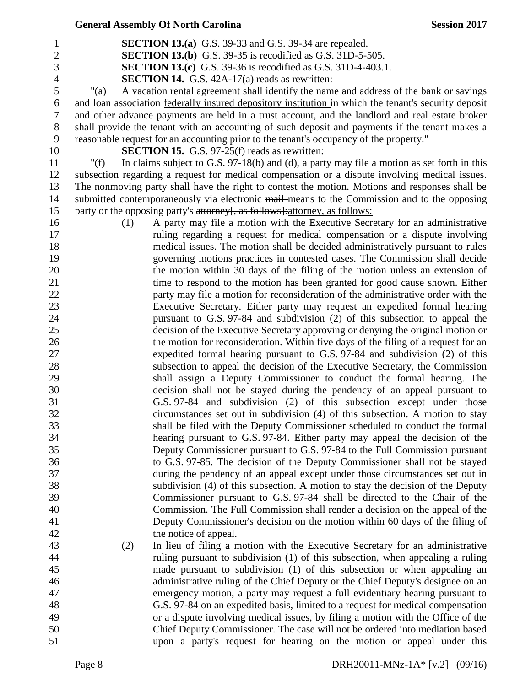|                |         | <b>General Assembly Of North Carolina</b>                                                            | <b>Session 2017</b> |
|----------------|---------|------------------------------------------------------------------------------------------------------|---------------------|
| 1              |         | <b>SECTION 13.(a)</b> G.S. 39-33 and G.S. 39-34 are repealed.                                        |                     |
| $\mathbf{2}$   |         | <b>SECTION 13.(b)</b> G.S. 39-35 is recodified as G.S. 31D-5-505.                                    |                     |
| $\mathfrak{Z}$ |         | <b>SECTION 13.(c)</b> G.S. 39-36 is recodified as G.S. 31D-4-403.1.                                  |                     |
| $\overline{4}$ |         | <b>SECTION 14.</b> G.S. 42A-17(a) reads as rewritten:                                                |                     |
| 5              | "(a)    | A vacation rental agreement shall identify the name and address of the bank or savings               |                     |
| 6              |         | and loan association federally insured depository institution in which the tenant's security deposit |                     |
| 7              |         | and other advance payments are held in a trust account, and the landlord and real estate broker      |                     |
| 8              |         | shall provide the tenant with an accounting of such deposit and payments if the tenant makes a       |                     |
| 9              |         | reasonable request for an accounting prior to the tenant's occupancy of the property."               |                     |
| 10             |         | <b>SECTION 15.</b> G.S. 97-25(f) reads as rewritten:                                                 |                     |
| 11             | " $(f)$ | In claims subject to G.S. $97-18(b)$ and (d), a party may file a motion as set forth in this         |                     |
| 12             |         | subsection regarding a request for medical compensation or a dispute involving medical issues.       |                     |
| 13             |         | The nonmoving party shall have the right to contest the motion. Motions and responses shall be       |                     |
| 14             |         | submitted contemporaneously via electronic mail means to the Commission and to the opposing          |                     |
| 15             |         | party or the opposing party's attorney[, as follows]: attorney, as follows:                          |                     |
| 16             | (1)     | A party may file a motion with the Executive Secretary for an administrative                         |                     |
| 17             |         | ruling regarding a request for medical compensation or a dispute involving                           |                     |
| 18             |         | medical issues. The motion shall be decided administratively pursuant to rules                       |                     |
| 19             |         | governing motions practices in contested cases. The Commission shall decide                          |                     |
| 20             |         | the motion within 30 days of the filing of the motion unless an extension of                         |                     |
| 21             |         | time to respond to the motion has been granted for good cause shown. Either                          |                     |
| 22             |         | party may file a motion for reconsideration of the administrative order with the                     |                     |
| 23             |         | Executive Secretary. Either party may request an expedited formal hearing                            |                     |
| 24             |         | pursuant to G.S. 97-84 and subdivision (2) of this subsection to appeal the                          |                     |
| 25             |         | decision of the Executive Secretary approving or denying the original motion or                      |                     |
| 26             |         | the motion for reconsideration. Within five days of the filing of a request for an                   |                     |
| 27             |         | expedited formal hearing pursuant to G.S. 97-84 and subdivision (2) of this                          |                     |
| 28             |         | subsection to appeal the decision of the Executive Secretary, the Commission                         |                     |
| 29             |         | shall assign a Deputy Commissioner to conduct the formal hearing. The                                |                     |
| 30             |         | decision shall not be stayed during the pendency of an appeal pursuant to                            |                     |
| 31             |         | G.S. 97-84 and subdivision (2) of this subsection except under those                                 |                     |
| 32             |         | circumstances set out in subdivision (4) of this subsection. A motion to stay                        |                     |
| 33             |         | shall be filed with the Deputy Commissioner scheduled to conduct the formal                          |                     |
| 34             |         | hearing pursuant to G.S. 97-84. Either party may appeal the decision of the                          |                     |
| 35             |         | Deputy Commissioner pursuant to G.S. 97-84 to the Full Commission pursuant                           |                     |
| 36             |         | to G.S. 97-85. The decision of the Deputy Commissioner shall not be stayed                           |                     |
| 37             |         | during the pendency of an appeal except under those circumstances set out in                         |                     |
| 38             |         | subdivision (4) of this subsection. A motion to stay the decision of the Deputy                      |                     |
| 39             |         | Commissioner pursuant to G.S. 97-84 shall be directed to the Chair of the                            |                     |
| 40             |         | Commission. The Full Commission shall render a decision on the appeal of the                         |                     |
| 41             |         | Deputy Commissioner's decision on the motion within 60 days of the filing of                         |                     |
| 42             |         | the notice of appeal.                                                                                |                     |
| 43             | (2)     | In lieu of filing a motion with the Executive Secretary for an administrative                        |                     |
| 44             |         | ruling pursuant to subdivision (1) of this subsection, when appealing a ruling                       |                     |
| 45             |         | made pursuant to subdivision (1) of this subsection or when appealing an                             |                     |
| 46             |         | administrative ruling of the Chief Deputy or the Chief Deputy's designee on an                       |                     |
| 47             |         | emergency motion, a party may request a full evidentiary hearing pursuant to                         |                     |
| 48             |         | G.S. 97-84 on an expedited basis, limited to a request for medical compensation                      |                     |
| 49             |         | or a dispute involving medical issues, by filing a motion with the Office of the                     |                     |
| 50             |         | Chief Deputy Commissioner. The case will not be ordered into mediation based                         |                     |
| 51             |         | upon a party's request for hearing on the motion or appeal under this                                |                     |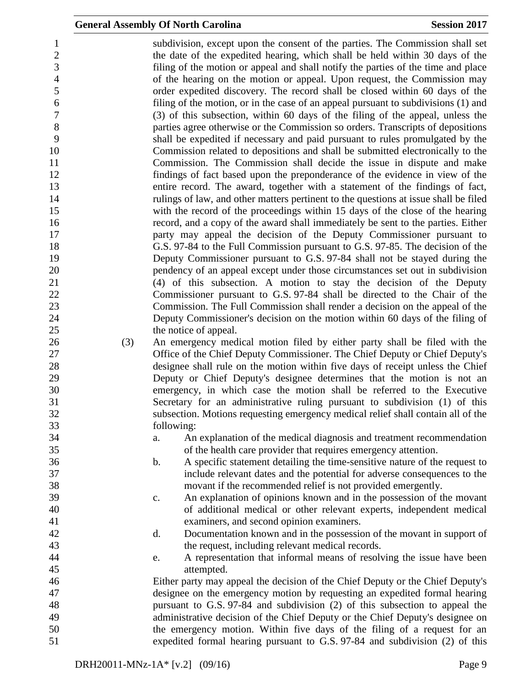subdivision, except upon the consent of the parties. The Commission shall set the date of the expedited hearing, which shall be held within 30 days of the filing of the motion or appeal and shall notify the parties of the time and place of the hearing on the motion or appeal. Upon request, the Commission may order expedited discovery. The record shall be closed within 60 days of the 6 filing of the motion, or in the case of an appeal pursuant to subdivisions (1) and (3) of this subsection, within 60 days of the filing of the appeal, unless the (3) of this subsection, within 60 days of the filing of the appeal, unless the parties agree otherwise or the Commission so orders. Transcripts of depositions shall be expedited if necessary and paid pursuant to rules promulgated by the Commission related to depositions and shall be submitted electronically to the Commission. The Commission shall decide the issue in dispute and make findings of fact based upon the preponderance of the evidence in view of the entire record. The award, together with a statement of the findings of fact, rulings of law, and other matters pertinent to the questions at issue shall be filed with the record of the proceedings within 15 days of the close of the hearing record, and a copy of the award shall immediately be sent to the parties. Either party may appeal the decision of the Deputy Commissioner pursuant to G.S. 97-84 to the Full Commission pursuant to G.S. 97-85. The decision of the Deputy Commissioner pursuant to G.S. 97-84 shall not be stayed during the pendency of an appeal except under those circumstances set out in subdivision (4) of this subsection. A motion to stay the decision of the Deputy Commissioner pursuant to G.S. 97-84 shall be directed to the Chair of the Commission. The Full Commission shall render a decision on the appeal of the Deputy Commissioner's decision on the motion within 60 days of the filing of 25 the notice of appeal. (3) An emergency medical motion filed by either party shall be filed with the Office of the Chief Deputy Commissioner. The Chief Deputy or Chief Deputy's designee shall rule on the motion within five days of receipt unless the Chief Deputy or Chief Deputy's designee determines that the motion is not an emergency, in which case the motion shall be referred to the Executive Secretary for an administrative ruling pursuant to subdivision (1) of this subsection. Motions requesting emergency medical relief shall contain all of the following: a. An explanation of the medical diagnosis and treatment recommendation of the health care provider that requires emergency attention. b. A specific statement detailing the time-sensitive nature of the request to include relevant dates and the potential for adverse consequences to the movant if the recommended relief is not provided emergently. c. An explanation of opinions known and in the possession of the movant of additional medical or other relevant experts, independent medical examiners, and second opinion examiners. d. Documentation known and in the possession of the movant in support of the request, including relevant medical records. e. A representation that informal means of resolving the issue have been attempted. Either party may appeal the decision of the Chief Deputy or the Chief Deputy's designee on the emergency motion by requesting an expedited formal hearing pursuant to G.S. 97-84 and subdivision (2) of this subsection to appeal the administrative decision of the Chief Deputy or the Chief Deputy's designee on the emergency motion. Within five days of the filing of a request for an expedited formal hearing pursuant to G.S. 97-84 and subdivision (2) of this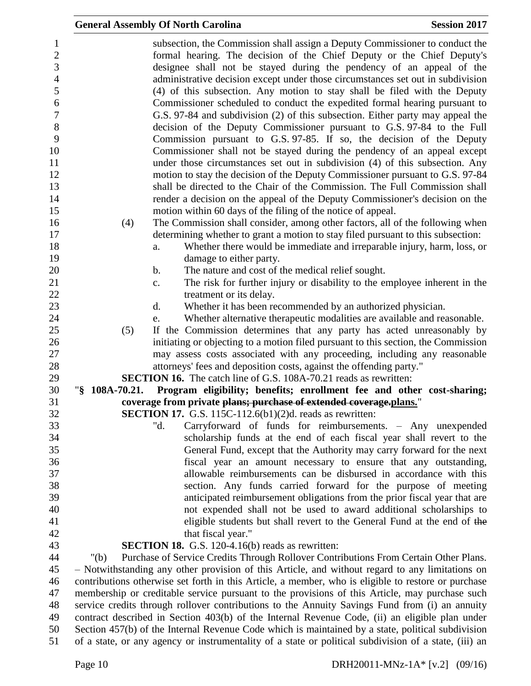|                   | <b>General Assembly Of North Carolina</b>                                                                                                                                                                                                                                                                                                                                                                                                                                                                                                                                                                                                                                                                                                                                                    | <b>Session 2017</b> |
|-------------------|----------------------------------------------------------------------------------------------------------------------------------------------------------------------------------------------------------------------------------------------------------------------------------------------------------------------------------------------------------------------------------------------------------------------------------------------------------------------------------------------------------------------------------------------------------------------------------------------------------------------------------------------------------------------------------------------------------------------------------------------------------------------------------------------|---------------------|
|                   | subsection, the Commission shall assign a Deputy Commissioner to conduct the<br>formal hearing. The decision of the Chief Deputy or the Chief Deputy's<br>designee shall not be stayed during the pendency of an appeal of the<br>administrative decision except under those circumstances set out in subdivision<br>(4) of this subsection. Any motion to stay shall be filed with the Deputy<br>Commissioner scheduled to conduct the expedited formal hearing pursuant to<br>G.S. 97-84 and subdivision (2) of this subsection. Either party may appeal the<br>decision of the Deputy Commissioner pursuant to G.S. 97-84 to the Full<br>Commission pursuant to G.S. 97-85. If so, the decision of the Deputy<br>Commissioner shall not be stayed during the pendency of an appeal except |                     |
|                   | under those circumstances set out in subdivision (4) of this subsection. Any<br>motion to stay the decision of the Deputy Commissioner pursuant to G.S. 97-84<br>shall be directed to the Chair of the Commission. The Full Commission shall<br>render a decision on the appeal of the Deputy Commissioner's decision on the                                                                                                                                                                                                                                                                                                                                                                                                                                                                 |                     |
|                   | motion within 60 days of the filing of the notice of appeal.                                                                                                                                                                                                                                                                                                                                                                                                                                                                                                                                                                                                                                                                                                                                 |                     |
| (4)               | The Commission shall consider, among other factors, all of the following when                                                                                                                                                                                                                                                                                                                                                                                                                                                                                                                                                                                                                                                                                                                |                     |
|                   | determining whether to grant a motion to stay filed pursuant to this subsection:                                                                                                                                                                                                                                                                                                                                                                                                                                                                                                                                                                                                                                                                                                             |                     |
|                   | Whether there would be immediate and irreparable injury, harm, loss, or<br>a.                                                                                                                                                                                                                                                                                                                                                                                                                                                                                                                                                                                                                                                                                                                |                     |
|                   | damage to either party.                                                                                                                                                                                                                                                                                                                                                                                                                                                                                                                                                                                                                                                                                                                                                                      |                     |
|                   | The nature and cost of the medical relief sought.<br>$\mathbf b$ .                                                                                                                                                                                                                                                                                                                                                                                                                                                                                                                                                                                                                                                                                                                           |                     |
|                   | The risk for further injury or disability to the employee inherent in the<br>c.                                                                                                                                                                                                                                                                                                                                                                                                                                                                                                                                                                                                                                                                                                              |                     |
|                   | treatment or its delay.                                                                                                                                                                                                                                                                                                                                                                                                                                                                                                                                                                                                                                                                                                                                                                      |                     |
|                   | Whether it has been recommended by an authorized physician.<br>d.                                                                                                                                                                                                                                                                                                                                                                                                                                                                                                                                                                                                                                                                                                                            |                     |
|                   | Whether alternative therapeutic modalities are available and reasonable.<br>e.                                                                                                                                                                                                                                                                                                                                                                                                                                                                                                                                                                                                                                                                                                               |                     |
| (5)               | If the Commission determines that any party has acted unreasonably by                                                                                                                                                                                                                                                                                                                                                                                                                                                                                                                                                                                                                                                                                                                        |                     |
|                   | initiating or objecting to a motion filed pursuant to this section, the Commission<br>may assess costs associated with any proceeding, including any reasonable                                                                                                                                                                                                                                                                                                                                                                                                                                                                                                                                                                                                                              |                     |
|                   | attorneys' fees and deposition costs, against the offending party."                                                                                                                                                                                                                                                                                                                                                                                                                                                                                                                                                                                                                                                                                                                          |                     |
|                   | <b>SECTION 16.</b> The catch line of G.S. 108A-70.21 reads as rewritten:                                                                                                                                                                                                                                                                                                                                                                                                                                                                                                                                                                                                                                                                                                                     |                     |
| " $$108A-70.21$ . | Program eligibility; benefits; enrollment fee and other cost-sharing;                                                                                                                                                                                                                                                                                                                                                                                                                                                                                                                                                                                                                                                                                                                        |                     |
|                   | coverage from private plans; purchase of extended coverage.plans."                                                                                                                                                                                                                                                                                                                                                                                                                                                                                                                                                                                                                                                                                                                           |                     |
|                   | <b>SECTION 17.</b> G.S. 115C-112.6(b1) $(2)$ d. reads as rewritten:                                                                                                                                                                                                                                                                                                                                                                                                                                                                                                                                                                                                                                                                                                                          |                     |
|                   | Carryforward of funds for reimbursements. - Any unexpended<br>"d.                                                                                                                                                                                                                                                                                                                                                                                                                                                                                                                                                                                                                                                                                                                            |                     |
|                   | scholarship funds at the end of each fiscal year shall revert to the                                                                                                                                                                                                                                                                                                                                                                                                                                                                                                                                                                                                                                                                                                                         |                     |
|                   | General Fund, except that the Authority may carry forward for the next                                                                                                                                                                                                                                                                                                                                                                                                                                                                                                                                                                                                                                                                                                                       |                     |
|                   | fiscal year an amount necessary to ensure that any outstanding,                                                                                                                                                                                                                                                                                                                                                                                                                                                                                                                                                                                                                                                                                                                              |                     |
|                   | allowable reimbursements can be disbursed in accordance with this                                                                                                                                                                                                                                                                                                                                                                                                                                                                                                                                                                                                                                                                                                                            |                     |
|                   | section. Any funds carried forward for the purpose of meeting                                                                                                                                                                                                                                                                                                                                                                                                                                                                                                                                                                                                                                                                                                                                |                     |
|                   | anticipated reimbursement obligations from the prior fiscal year that are                                                                                                                                                                                                                                                                                                                                                                                                                                                                                                                                                                                                                                                                                                                    |                     |
|                   | not expended shall not be used to award additional scholarships to                                                                                                                                                                                                                                                                                                                                                                                                                                                                                                                                                                                                                                                                                                                           |                     |
|                   | eligible students but shall revert to the General Fund at the end of the                                                                                                                                                                                                                                                                                                                                                                                                                                                                                                                                                                                                                                                                                                                     |                     |
|                   | that fiscal year."                                                                                                                                                                                                                                                                                                                                                                                                                                                                                                                                                                                                                                                                                                                                                                           |                     |
|                   | <b>SECTION 18.</b> G.S. 120-4.16(b) reads as rewritten:                                                                                                                                                                                                                                                                                                                                                                                                                                                                                                                                                                                                                                                                                                                                      |                     |
| " $(b)$           | Purchase of Service Credits Through Rollover Contributions From Certain Other Plans.<br>- Notwithstanding any other provision of this Article, and without regard to any limitations on                                                                                                                                                                                                                                                                                                                                                                                                                                                                                                                                                                                                      |                     |
|                   | contributions otherwise set forth in this Article, a member, who is eligible to restore or purchase                                                                                                                                                                                                                                                                                                                                                                                                                                                                                                                                                                                                                                                                                          |                     |
|                   | membership or creditable service pursuant to the provisions of this Article, may purchase such                                                                                                                                                                                                                                                                                                                                                                                                                                                                                                                                                                                                                                                                                               |                     |
|                   | service credits through rollover contributions to the Annuity Savings Fund from (i) an annuity                                                                                                                                                                                                                                                                                                                                                                                                                                                                                                                                                                                                                                                                                               |                     |
|                   | contract described in Section 403(b) of the Internal Revenue Code, (ii) an eligible plan under                                                                                                                                                                                                                                                                                                                                                                                                                                                                                                                                                                                                                                                                                               |                     |
|                   | Section 457(b) of the Internal Revenue Code which is maintained by a state, political subdivision                                                                                                                                                                                                                                                                                                                                                                                                                                                                                                                                                                                                                                                                                            |                     |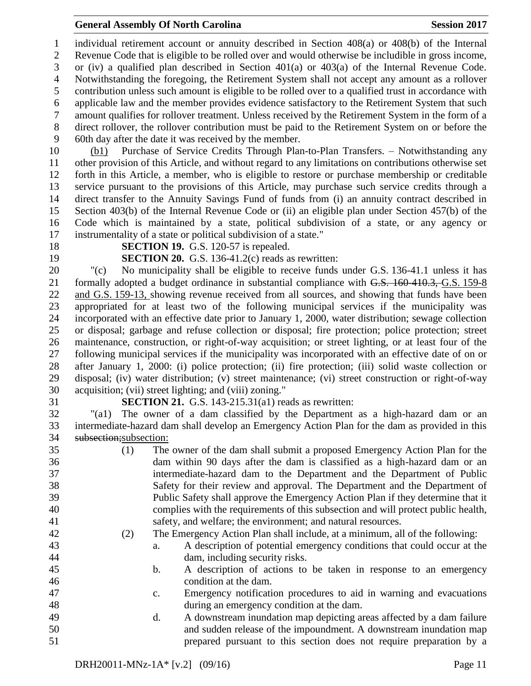individual retirement account or annuity described in Section 408(a) or 408(b) of the Internal Revenue Code that is eligible to be rolled over and would otherwise be includible in gross income, or (iv) a qualified plan described in Section 401(a) or 403(a) of the Internal Revenue Code. Notwithstanding the foregoing, the Retirement System shall not accept any amount as a rollover contribution unless such amount is eligible to be rolled over to a qualified trust in accordance with applicable law and the member provides evidence satisfactory to the Retirement System that such amount qualifies for rollover treatment. Unless received by the Retirement System in the form of a direct rollover, the rollover contribution must be paid to the Retirement System on or before the 60th day after the date it was received by the member.

 (b1) Purchase of Service Credits Through Plan-to-Plan Transfers. – Notwithstanding any other provision of this Article, and without regard to any limitations on contributions otherwise set forth in this Article, a member, who is eligible to restore or purchase membership or creditable service pursuant to the provisions of this Article, may purchase such service credits through a direct transfer to the Annuity Savings Fund of funds from (i) an annuity contract described in Section 403(b) of the Internal Revenue Code or (ii) an eligible plan under Section 457(b) of the Code which is maintained by a state, political subdivision of a state, or any agency or instrumentality of a state or political subdivision of a state."

- 
- 

**SECTION 19.** G.S. 120-57 is repealed.

**SECTION 20.** G.S. 136-41.2(c) reads as rewritten:

 "(c) No municipality shall be eligible to receive funds under G.S. 136-41.1 unless it has formally adopted a budget ordinance in substantial compliance with G.S. 160-410.3, G.S. 159-8 and G.S. 159-13, showing revenue received from all sources, and showing that funds have been appropriated for at least two of the following municipal services if the municipality was incorporated with an effective date prior to January 1, 2000, water distribution; sewage collection or disposal; garbage and refuse collection or disposal; fire protection; police protection; street maintenance, construction, or right-of-way acquisition; or street lighting, or at least four of the following municipal services if the municipality was incorporated with an effective date of on or after January 1, 2000: (i) police protection; (ii) fire protection; (iii) solid waste collection or disposal; (iv) water distribution; (v) street maintenance; (vi) street construction or right-of-way acquisition; (vii) street lighting; and (viii) zoning."

**SECTION 21.** G.S. 143-215.31(a1) reads as rewritten:

 "(a1) The owner of a dam classified by the Department as a high-hazard dam or an intermediate-hazard dam shall develop an Emergency Action Plan for the dam as provided in this 34 subsection; subsection:

 (1) The owner of the dam shall submit a proposed Emergency Action Plan for the dam within 90 days after the dam is classified as a high-hazard dam or an intermediate-hazard dam to the Department and the Department of Public Safety for their review and approval. The Department and the Department of Public Safety shall approve the Emergency Action Plan if they determine that it complies with the requirements of this subsection and will protect public health, safety, and welfare; the environment; and natural resources. (2) The Emergency Action Plan shall include, at a minimum, all of the following: a. A description of potential emergency conditions that could occur at the dam, including security risks. b. A description of actions to be taken in response to an emergency condition at the dam. c. Emergency notification procedures to aid in warning and evacuations during an emergency condition at the dam. d. A downstream inundation map depicting areas affected by a dam failure and sudden release of the impoundment. A downstream inundation map prepared pursuant to this section does not require preparation by a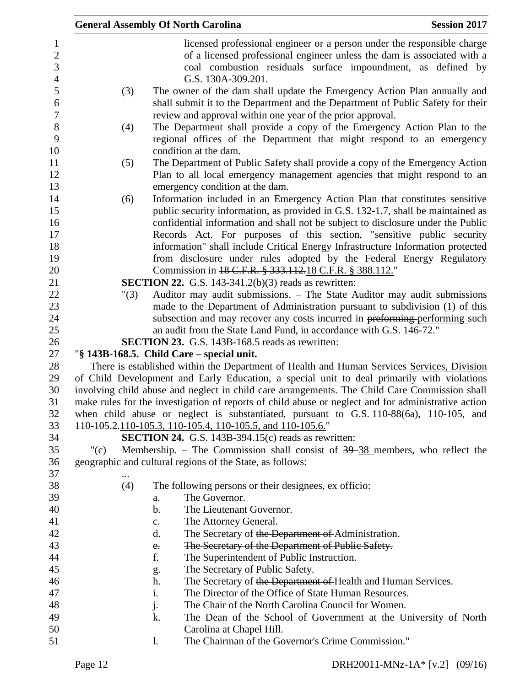|          |               | <b>General Assembly Of North Carolina</b>                                                           | <b>Session 2017</b> |
|----------|---------------|-----------------------------------------------------------------------------------------------------|---------------------|
|          |               | licensed professional engineer or a person under the responsible charge                             |                     |
|          |               | of a licensed professional engineer unless the dam is associated with a                             |                     |
|          |               | coal combustion residuals surface impoundment, as defined by                                        |                     |
|          |               | G.S. 130A-309.201.                                                                                  |                     |
| (3)      |               | The owner of the dam shall update the Emergency Action Plan annually and                            |                     |
|          |               | shall submit it to the Department and the Department of Public Safety for their                     |                     |
|          |               | review and approval within one year of the prior approval.                                          |                     |
| (4)      |               | The Department shall provide a copy of the Emergency Action Plan to the                             |                     |
|          |               | regional offices of the Department that might respond to an emergency                               |                     |
|          |               | condition at the dam.                                                                               |                     |
| (5)      |               | The Department of Public Safety shall provide a copy of the Emergency Action                        |                     |
|          |               | Plan to all local emergency management agencies that might respond to an                            |                     |
|          |               | emergency condition at the dam.                                                                     |                     |
| (6)      |               | Information included in an Emergency Action Plan that constitutes sensitive                         |                     |
|          |               | public security information, as provided in G.S. 132-1.7, shall be maintained as                    |                     |
|          |               | confidential information and shall not be subject to disclosure under the Public                    |                     |
|          |               | Records Act. For purposes of this section, "sensitive public security                               |                     |
|          |               | information" shall include Critical Energy Infrastructure Information protected                     |                     |
|          |               | from disclosure under rules adopted by the Federal Energy Regulatory                                |                     |
|          |               | Commission in 18 C.F.R. § 333.112.18 C.F.R. § 388.112."                                             |                     |
|          |               | <b>SECTION 22.</b> G.S. 143-341.2(b)(3) reads as rewritten:                                         |                     |
| "(3)     |               | Auditor may audit submissions. - The State Auditor may audit submissions                            |                     |
|          |               | made to the Department of Administration pursuant to subdivision (1) of this                        |                     |
|          |               | subsection and may recover any costs incurred in preforming-performing such                         |                     |
|          |               | an audit from the State Land Fund, in accordance with G.S. 146-72."                                 |                     |
|          |               | SECTION 23. G.S. 143B-168.5 reads as rewritten:                                                     |                     |
|          |               | "§ 143B-168.5. Child Care – special unit.                                                           |                     |
|          |               | There is established within the Department of Health and Human Services-Services, Division          |                     |
|          |               | of Child Development and Early Education, a special unit to deal primarily with violations          |                     |
|          |               | involving child abuse and neglect in child care arrangements. The Child Care Commission shall       |                     |
|          |               | make rules for the investigation of reports of child abuse or neglect and for administrative action |                     |
|          |               | when child abuse or neglect is substantiated, pursuant to G.S. $110-88(6a)$ , $110-105$ , and       |                     |
|          |               | 110-105.2, 110-105.3, 110-105.4, 110-105.5, and 110-105.6."                                         |                     |
|          |               | <b>SECTION 24.</b> G.S. 143B-394.15 $(c)$ reads as rewritten:                                       |                     |
| $"({c})$ |               | Membership. – The Commission shall consist of $39-38$ members, who reflect the                      |                     |
|          |               | geographic and cultural regions of the State, as follows:                                           |                     |
|          |               |                                                                                                     |                     |
| (4)      |               | The following persons or their designees, ex officio:                                               |                     |
|          | a.            | The Governor.                                                                                       |                     |
|          | $\mathbf b$ . | The Lieutenant Governor.                                                                            |                     |
|          | c.            | The Attorney General.                                                                               |                     |
|          | d.            | The Secretary of the Department of Administration.                                                  |                     |
|          | $e_{\cdot}$   | The Secretary of the Department of Public Safety.                                                   |                     |
|          | f.            | The Superintendent of Public Instruction.                                                           |                     |
|          | g.            | The Secretary of Public Safety.                                                                     |                     |
|          | h.            | The Secretary of the Department of Health and Human Services.                                       |                     |
|          | i.            | The Director of the Office of State Human Resources.                                                |                     |
|          | j.            | The Chair of the North Carolina Council for Women.                                                  |                     |
|          | k.            | The Dean of the School of Government at the University of North                                     |                     |
|          |               | Carolina at Chapel Hill.                                                                            |                     |
|          | 1.            | The Chairman of the Governor's Crime Commission."                                                   |                     |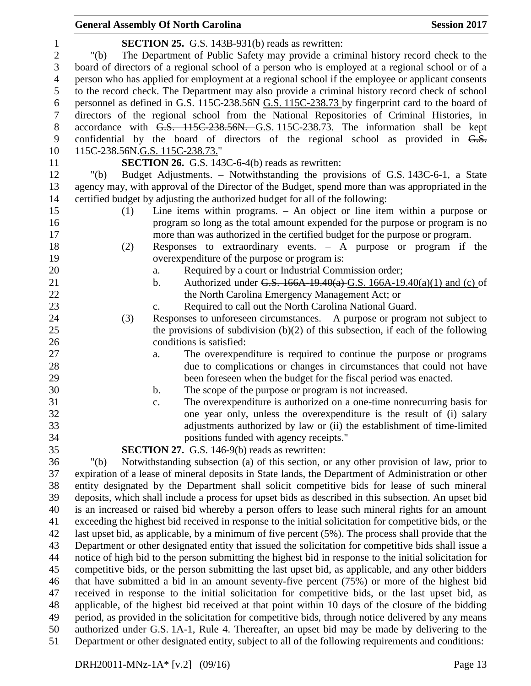| $\mathbf{1}$   | <b>SECTION 25.</b> G.S. 143B-931(b) reads as rewritten:                                                 |
|----------------|---------------------------------------------------------------------------------------------------------|
| $\overline{c}$ | The Department of Public Safety may provide a criminal history record check to the<br>" $(b)$           |
| 3              | board of directors of a regional school of a person who is employed at a regional school or of a        |
| $\overline{4}$ | person who has applied for employment at a regional school if the employee or applicant consents        |
| 5              | to the record check. The Department may also provide a criminal history record check of school          |
| 6              | personnel as defined in G.S. 115C-238.56N-G.S. 115C-238.73 by fingerprint card to the board of          |
| $\tau$         | directors of the regional school from the National Repositories of Criminal Histories, in               |
| $8\,$          | accordance with G.S. 115C-238.56N. G.S. 115C-238.73. The information shall be kept                      |
| 9              | confidential by the board of directors of the regional school as provided in G.S.                       |
| 10             | 115C-238.56N.G.S. 115C-238.73."                                                                         |
| 11             | <b>SECTION 26.</b> G.S. 143C-6-4(b) reads as rewritten:                                                 |
| 12             | Budget Adjustments. – Notwithstanding the provisions of G.S. 143C-6-1, a State<br>" $(b)$               |
| 13             | agency may, with approval of the Director of the Budget, spend more than was appropriated in the        |
| 14             | certified budget by adjusting the authorized budget for all of the following:                           |
| 15             | Line items within programs. $-$ An object or line item within a purpose or<br>(1)                       |
| 16             | program so long as the total amount expended for the purpose or program is no                           |
| 17             | more than was authorized in the certified budget for the purpose or program.                            |
| 18             | Responses to extraordinary events. $-$ A purpose or program if the<br>(2)                               |
| 19             | overexpenditure of the purpose or program is:                                                           |
| 20             | Required by a court or Industrial Commission order;<br>a.                                               |
| 21             | Authorized under G.S. 166A 19.40(a) G.S. 166A-19.40(a)(1) and (c) of<br>$\mathbf b$ .                   |
| 22             | the North Carolina Emergency Management Act; or                                                         |
| 23             | Required to call out the North Carolina National Guard.<br>$C_{\bullet}$                                |
| 24             | Responses to unforeseen circumstances. $- A$ purpose or program not subject to<br>(3)                   |
| 25             | the provisions of subdivision $(b)(2)$ of this subsection, if each of the following                     |
| 26             | conditions is satisfied:                                                                                |
| 27             | The overexpenditure is required to continue the purpose or programs<br>a.                               |
| 28             | due to complications or changes in circumstances that could not have                                    |
| 29             | been foreseen when the budget for the fiscal period was enacted.                                        |
| 30             | The scope of the purpose or program is not increased.<br>b.                                             |
| 31             | The overexpenditure is authorized on a one-time nonrecurring basis for<br>$\mathbf{c}$ .                |
| 32             | one year only, unless the overexpenditure is the result of (i) salary                                   |
| 33             | adjustments authorized by law or (ii) the establishment of time-limited                                 |
| 34             | positions funded with agency receipts."                                                                 |
| 35             | <b>SECTION 27.</b> G.S. 146-9(b) reads as rewritten:                                                    |
| 36             | Notwithstanding subsection (a) of this section, or any other provision of law, prior to<br>" $(b)$      |
| 37             | expiration of a lease of mineral deposits in State lands, the Department of Administration or other     |
| 38             | entity designated by the Department shall solicit competitive bids for lease of such mineral            |
| 39             | deposits, which shall include a process for upset bids as described in this subsection. An upset bid    |
| 40             | is an increased or raised bid whereby a person offers to lease such mineral rights for an amount        |
| 41             | exceeding the highest bid received in response to the initial solicitation for competitive bids, or the |
| 42             | last upset bid, as applicable, by a minimum of five percent (5%). The process shall provide that the    |
| 43             | Department or other designated entity that issued the solicitation for competitive bids shall issue a   |
| 44             | notice of high bid to the person submitting the highest bid in response to the initial solicitation for |
| 45             | competitive bids, or the person submitting the last upset bid, as applicable, and any other bidders     |
| 46             | that have submitted a bid in an amount seventy-five percent (75%) or more of the highest bid            |
| 47             | received in response to the initial solicitation for competitive bids, or the last upset bid, as        |
| 48             | applicable, of the highest bid received at that point within 10 days of the closure of the bidding      |
| 49             | period, as provided in the solicitation for competitive bids, through notice delivered by any means     |
| 50             | authorized under G.S. 1A-1, Rule 4. Thereafter, an upset bid may be made by delivering to the           |
| 51             | Department or other designated entity, subject to all of the following requirements and conditions:     |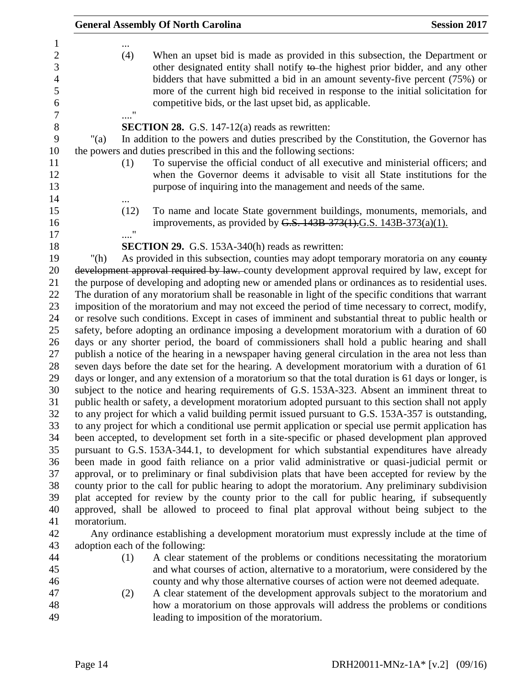|                                                                                    |             |      | <b>General Assembly Of North Carolina</b>                                                                                                                                                                                                                                                                                                                                                                                                               | <b>Session 2017</b> |
|------------------------------------------------------------------------------------|-------------|------|---------------------------------------------------------------------------------------------------------------------------------------------------------------------------------------------------------------------------------------------------------------------------------------------------------------------------------------------------------------------------------------------------------------------------------------------------------|---------------------|
| 1<br>$\sqrt{2}$<br>3<br>$\overline{4}$<br>5<br>6<br>$\boldsymbol{7}$<br>$8\,$<br>9 |             | (4)  | When an upset bid is made as provided in this subsection, the Department or<br>other designated entity shall notify to the highest prior bidder, and any other<br>bidders that have submitted a bid in an amount seventy-five percent (75%) or<br>more of the current high bid received in response to the initial solicitation for<br>competitive bids, or the last upset bid, as applicable.<br><b>SECTION 28.</b> G.S. 147-12(a) reads as rewritten: |                     |
|                                                                                    | " $(a)$     |      | In addition to the powers and duties prescribed by the Constitution, the Governor has                                                                                                                                                                                                                                                                                                                                                                   |                     |
| 10<br>11<br>12<br>13<br>14                                                         |             | (1)  | the powers and duties prescribed in this and the following sections:<br>To supervise the official conduct of all executive and ministerial officers; and<br>when the Governor deems it advisable to visit all State institutions for the<br>purpose of inquiring into the management and needs of the same.                                                                                                                                             |                     |
| 15<br>16<br>17                                                                     |             | (12) | To name and locate State government buildings, monuments, memorials, and<br>improvements, as provided by G.S. 143B-373(1).G.S. 143B-373(a)(1).                                                                                                                                                                                                                                                                                                          |                     |
| 18                                                                                 |             |      | <b>SECTION 29.</b> G.S. 153A-340(h) reads as rewritten:                                                                                                                                                                                                                                                                                                                                                                                                 |                     |
| 19                                                                                 | " $(h)$     |      | As provided in this subsection, counties may adopt temporary moratoria on any county                                                                                                                                                                                                                                                                                                                                                                    |                     |
| 20                                                                                 |             |      | development approval required by law. county development approval required by law, except for                                                                                                                                                                                                                                                                                                                                                           |                     |
|                                                                                    |             |      | the purpose of developing and adopting new or amended plans or ordinances as to residential uses.                                                                                                                                                                                                                                                                                                                                                       |                     |
| 22                                                                                 |             |      | The duration of any moratorium shall be reasonable in light of the specific conditions that warrant                                                                                                                                                                                                                                                                                                                                                     |                     |
| 23                                                                                 |             |      | imposition of the moratorium and may not exceed the period of time necessary to correct, modify,                                                                                                                                                                                                                                                                                                                                                        |                     |
| 24                                                                                 |             |      | or resolve such conditions. Except in cases of imminent and substantial threat to public health or                                                                                                                                                                                                                                                                                                                                                      |                     |
| 25                                                                                 |             |      | safety, before adopting an ordinance imposing a development moratorium with a duration of 60                                                                                                                                                                                                                                                                                                                                                            |                     |
| 26                                                                                 |             |      | days or any shorter period, the board of commissioners shall hold a public hearing and shall                                                                                                                                                                                                                                                                                                                                                            |                     |
| 27                                                                                 |             |      | publish a notice of the hearing in a newspaper having general circulation in the area not less than                                                                                                                                                                                                                                                                                                                                                     |                     |
| 28<br>29                                                                           |             |      | seven days before the date set for the hearing. A development moratorium with a duration of 61                                                                                                                                                                                                                                                                                                                                                          |                     |
|                                                                                    |             |      | days or longer, and any extension of a moratorium so that the total duration is 61 days or longer, is<br>subject to the notice and hearing requirements of G.S. 153A-323. Absent an imminent threat to                                                                                                                                                                                                                                                  |                     |
|                                                                                    |             |      | public health or safety, a development moratorium adopted pursuant to this section shall not apply                                                                                                                                                                                                                                                                                                                                                      |                     |
|                                                                                    |             |      | to any project for which a valid building permit issued pursuant to G.S. 153A-357 is outstanding,                                                                                                                                                                                                                                                                                                                                                       |                     |
|                                                                                    |             |      | to any project for which a conditional use permit application or special use permit application has                                                                                                                                                                                                                                                                                                                                                     |                     |
|                                                                                    |             |      | been accepted, to development set forth in a site-specific or phased development plan approved                                                                                                                                                                                                                                                                                                                                                          |                     |
|                                                                                    |             |      | pursuant to G.S. 153A-344.1, to development for which substantial expenditures have already                                                                                                                                                                                                                                                                                                                                                             |                     |
|                                                                                    |             |      | been made in good faith reliance on a prior valid administrative or quasi-judicial permit or                                                                                                                                                                                                                                                                                                                                                            |                     |
|                                                                                    |             |      | approval, or to preliminary or final subdivision plats that have been accepted for review by the                                                                                                                                                                                                                                                                                                                                                        |                     |
|                                                                                    |             |      | county prior to the call for public hearing to adopt the moratorium. Any preliminary subdivision                                                                                                                                                                                                                                                                                                                                                        |                     |
|                                                                                    |             |      | plat accepted for review by the county prior to the call for public hearing, if subsequently                                                                                                                                                                                                                                                                                                                                                            |                     |
|                                                                                    |             |      | approved, shall be allowed to proceed to final plat approval without being subject to the                                                                                                                                                                                                                                                                                                                                                               |                     |
|                                                                                    | moratorium. |      |                                                                                                                                                                                                                                                                                                                                                                                                                                                         |                     |
|                                                                                    |             |      | Any ordinance establishing a development moratorium must expressly include at the time of                                                                                                                                                                                                                                                                                                                                                               |                     |
|                                                                                    |             |      | adoption each of the following:                                                                                                                                                                                                                                                                                                                                                                                                                         |                     |
|                                                                                    |             | (1)  | A clear statement of the problems or conditions necessitating the moratorium                                                                                                                                                                                                                                                                                                                                                                            |                     |
|                                                                                    |             |      | and what courses of action, alternative to a moratorium, were considered by the                                                                                                                                                                                                                                                                                                                                                                         |                     |
|                                                                                    |             |      | county and why those alternative courses of action were not deemed adequate.<br>A clear statement of the development approvals subject to the moratorium and                                                                                                                                                                                                                                                                                            |                     |
|                                                                                    |             | (2)  | how a moratorium on those approvals will address the problems or conditions                                                                                                                                                                                                                                                                                                                                                                             |                     |
|                                                                                    |             |      | leading to imposition of the moratorium.                                                                                                                                                                                                                                                                                                                                                                                                                |                     |
|                                                                                    |             |      |                                                                                                                                                                                                                                                                                                                                                                                                                                                         |                     |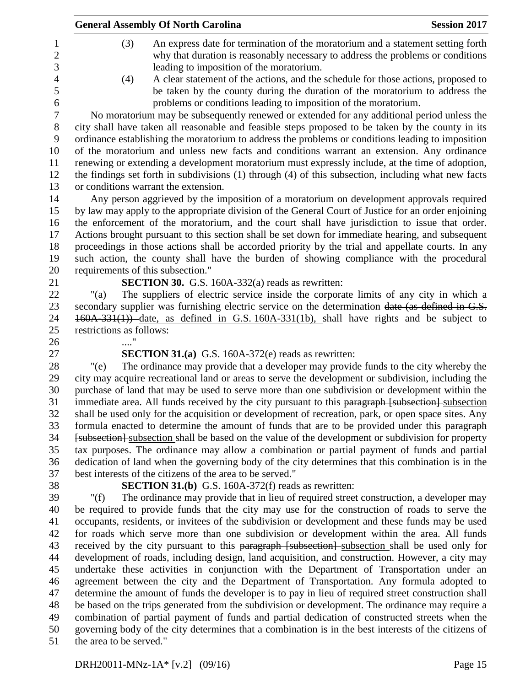|                                   | <b>General Assembly Of North Carolina</b>                                                                                                                                                                                                                                                           | <b>Session 2017</b> |
|-----------------------------------|-----------------------------------------------------------------------------------------------------------------------------------------------------------------------------------------------------------------------------------------------------------------------------------------------------|---------------------|
| (3)                               | An express date for termination of the moratorium and a statement setting forth<br>why that duration is reasonably necessary to address the problems or conditions<br>leading to imposition of the moratorium.                                                                                      |                     |
| (4)                               | A clear statement of the actions, and the schedule for those actions, proposed to<br>be taken by the county during the duration of the moratorium to address the<br>problems or conditions leading to imposition of the moratorium.                                                                 |                     |
|                                   | No moratorium may be subsequently renewed or extended for any additional period unless the                                                                                                                                                                                                          |                     |
|                                   | city shall have taken all reasonable and feasible steps proposed to be taken by the county in its<br>ordinance establishing the moratorium to address the problems or conditions leading to imposition                                                                                              |                     |
|                                   | of the moratorium and unless new facts and conditions warrant an extension. Any ordinance<br>renewing or extending a development moratorium must expressly include, at the time of adoption,<br>the findings set forth in subdivisions (1) through (4) of this subsection, including what new facts |                     |
|                                   | or conditions warrant the extension.                                                                                                                                                                                                                                                                |                     |
|                                   | Any person aggrieved by the imposition of a moratorium on development approvals required                                                                                                                                                                                                            |                     |
|                                   | by law may apply to the appropriate division of the General Court of Justice for an order enjoining                                                                                                                                                                                                 |                     |
|                                   | the enforcement of the moratorium, and the court shall have jurisdiction to issue that order.                                                                                                                                                                                                       |                     |
|                                   | Actions brought pursuant to this section shall be set down for immediate hearing, and subsequent                                                                                                                                                                                                    |                     |
|                                   | proceedings in those actions shall be accorded priority by the trial and appellate courts. In any                                                                                                                                                                                                   |                     |
|                                   | such action, the county shall have the burden of showing compliance with the procedural                                                                                                                                                                                                             |                     |
| requirements of this subsection." |                                                                                                                                                                                                                                                                                                     |                     |
| " $(a)$                           | <b>SECTION 30.</b> G.S. 160A-332(a) reads as rewritten:                                                                                                                                                                                                                                             |                     |
|                                   | The suppliers of electric service inside the corporate limits of any city in which a<br>secondary supplier was furnishing electric service on the determination date (as defined in G.S.                                                                                                            |                     |
|                                   | 160A-331(1)) date, as defined in G.S. 160A-331(1b), shall have rights and be subject to                                                                                                                                                                                                             |                     |
| restrictions as follows:          |                                                                                                                                                                                                                                                                                                     |                     |
|                                   |                                                                                                                                                                                                                                                                                                     |                     |
|                                   | <b>SECTION 31.(a)</b> G.S. 160A-372(e) reads as rewritten:                                                                                                                                                                                                                                          |                     |
| $"$ (e)                           | The ordinance may provide that a developer may provide funds to the city whereby the                                                                                                                                                                                                                |                     |
|                                   | city may acquire recreational land or areas to serve the development or subdivision, including the                                                                                                                                                                                                  |                     |
|                                   | purchase of land that may be used to serve more than one subdivision or development within the                                                                                                                                                                                                      |                     |
|                                   | immediate area. All funds received by the city pursuant to this paragraph [subsection] subsection                                                                                                                                                                                                   |                     |
|                                   | shall be used only for the acquisition or development of recreation, park, or open space sites. Any                                                                                                                                                                                                 |                     |
|                                   | formula enacted to determine the amount of funds that are to be provided under this paragraph                                                                                                                                                                                                       |                     |
|                                   | [subsection] subsection shall be based on the value of the development or subdivision for property<br>tax purposes. The ordinance may allow a combination or partial payment of funds and partial                                                                                                   |                     |
|                                   | dedication of land when the governing body of the city determines that this combination is in the                                                                                                                                                                                                   |                     |
|                                   | best interests of the citizens of the area to be served."                                                                                                                                                                                                                                           |                     |
|                                   | <b>SECTION 31.(b)</b> G.S. 160A-372(f) reads as rewritten:                                                                                                                                                                                                                                          |                     |
| " $(f)$                           | The ordinance may provide that in lieu of required street construction, a developer may                                                                                                                                                                                                             |                     |
|                                   | be required to provide funds that the city may use for the construction of roads to serve the                                                                                                                                                                                                       |                     |
|                                   | occupants, residents, or invitees of the subdivision or development and these funds may be used                                                                                                                                                                                                     |                     |
|                                   | for roads which serve more than one subdivision or development within the area. All funds                                                                                                                                                                                                           |                     |
|                                   | received by the city pursuant to this paragraph [subsection] subsection shall be used only for                                                                                                                                                                                                      |                     |
|                                   | development of roads, including design, land acquisition, and construction. However, a city may                                                                                                                                                                                                     |                     |
|                                   | undertake these activities in conjunction with the Department of Transportation under an                                                                                                                                                                                                            |                     |
|                                   | agreement between the city and the Department of Transportation. Any formula adopted to                                                                                                                                                                                                             |                     |
|                                   | determine the amount of funds the developer is to pay in lieu of required street construction shall                                                                                                                                                                                                 |                     |
|                                   | be based on the trips generated from the subdivision or development. The ordinance may require a<br>combination of partial payment of funds and partial dedication of constructed streets when the                                                                                                  |                     |
|                                   | governing body of the city determines that a combination is in the best interests of the citizens of                                                                                                                                                                                                |                     |
| the area to be served."           |                                                                                                                                                                                                                                                                                                     |                     |
|                                   |                                                                                                                                                                                                                                                                                                     |                     |